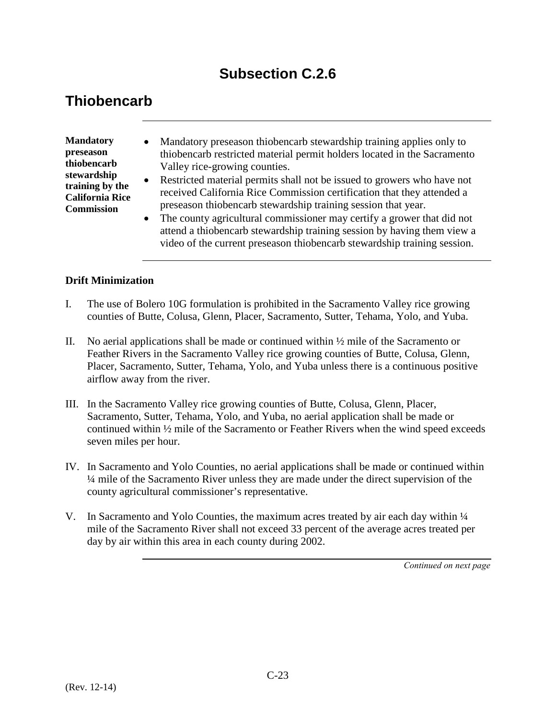# **Subsection C.2.6**

# **Thiobencarb**

**Mandatory preseason thiobencarb stewardship training by the California Rice Commission** 

- Mandatory preseason thiobencarb stewardship training applies only to thiobencarb restricted material permit holders located in the Sacramento Valley rice-growing counties.
- Restricted material permits shall not be issued to growers who have not received California Rice Commission certification that they attended a preseason thiobencarb stewardship training session that year.
- The county agricultural commissioner may certify a grower that did not attend a thiobencarb stewardship training session by having them view a video of the current preseason thiobencarb stewardship training session.

#### **Drift Minimization**

- I. The use of Bolero 10G formulation is prohibited in the Sacramento Valley rice growing counties of Butte, Colusa, Glenn, Placer, Sacramento, Sutter, Tehama, Yolo, and Yuba.
- II. No aerial applications shall be made or continued within  $\frac{1}{2}$  mile of the Sacramento or Feather Rivers in the Sacramento Valley rice growing counties of Butte, Colusa, Glenn, Placer, Sacramento, Sutter, Tehama, Yolo, and Yuba unless there is a continuous positive airflow away from the river.
- III. In the Sacramento Valley rice growing counties of Butte, Colusa, Glenn, Placer, Sacramento, Sutter, Tehama, Yolo, and Yuba, no aerial application shall be made or continued within ½ mile of the Sacramento or Feather Rivers when the wind speed exceeds seven miles per hour.
- IV. In Sacramento and Yolo Counties, no aerial applications shall be made or continued within ¼ mile of the Sacramento River unless they are made under the direct supervision of the county agricultural commissioner's representative.
- V. In Sacramento and Yolo Counties, the maximum acres treated by air each day within  $\frac{1}{4}$ mile of the Sacramento River shall not exceed 33 percent of the average acres treated per day by air within this area in each county during 2002.

*Continued on next page*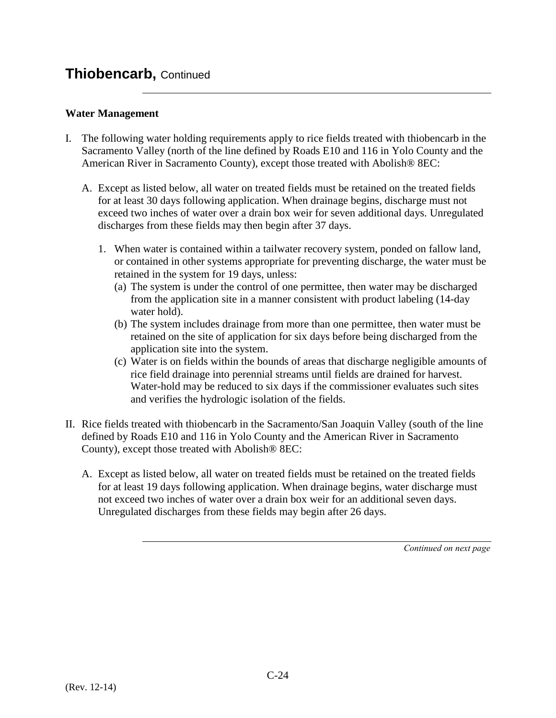### **Thiobencarb,** Continued

### **Water Management**

- I. The following water holding requirements apply to rice fields treated with thiobencarb in the Sacramento Valley (north of the line defined by Roads E10 and 116 in Yolo County and the American River in Sacramento County), except those treated with Abolish® 8EC:
	- A. Except as listed below, all water on treated fields must be retained on the treated fields for at least 30 days following application. When drainage begins, discharge must not exceed two inches of water over a drain box weir for seven additional days. Unregulated discharges from these fields may then begin after 37 days.
		- 1. When water is contained within a tailwater recovery system, ponded on fallow land, or contained in other systems appropriate for preventing discharge, the water must be retained in the system for 19 days, unless:
			- (a) The system is under the control of one permittee, then water may be discharged from the application site in a manner consistent with product labeling (14-day water hold).
			- (b) The system includes drainage from more than one permittee, then water must be retained on the site of application for six days before being discharged from the application site into the system.
			- (c) Water is on fields within the bounds of areas that discharge negligible amounts of rice field drainage into perennial streams until fields are drained for harvest. Water-hold may be reduced to six days if the commissioner evaluates such sites and verifies the hydrologic isolation of the fields.
- II. Rice fields treated with thiobencarb in the Sacramento/San Joaquin Valley (south of the line defined by Roads E10 and 116 in Yolo County and the American River in Sacramento County), except those treated with Abolish® 8EC:
	- A. Except as listed below, all water on treated fields must be retained on the treated fields for at least 19 days following application. When drainage begins, water discharge must not exceed two inches of water over a drain box weir for an additional seven days. Unregulated discharges from these fields may begin after 26 days.

*Continued on next page*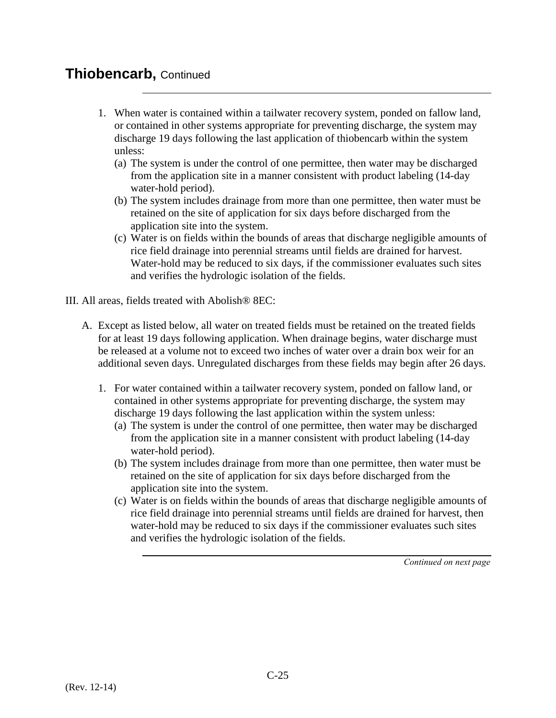## **Thiobencarb,** Continued

- 1. When water is contained within a tailwater recovery system, ponded on fallow land, or contained in other systems appropriate for preventing discharge, the system may discharge 19 days following the last application of thiobencarb within the system unless:
	- (a) The system is under the control of one permittee, then water may be discharged from the application site in a manner consistent with product labeling (14-day water-hold period).
	- (b) The system includes drainage from more than one permittee, then water must be retained on the site of application for six days before discharged from the application site into the system.
	- (c) Water is on fields within the bounds of areas that discharge negligible amounts of rice field drainage into perennial streams until fields are drained for harvest. Water-hold may be reduced to six days, if the commissioner evaluates such sites and verifies the hydrologic isolation of the fields.

III. All areas, fields treated with Abolish® 8EC:

- A. Except as listed below, all water on treated fields must be retained on the treated fields for at least 19 days following application. When drainage begins, water discharge must be released at a volume not to exceed two inches of water over a drain box weir for an additional seven days. Unregulated discharges from these fields may begin after 26 days.
	- 1. For water contained within a tailwater recovery system, ponded on fallow land, or contained in other systems appropriate for preventing discharge, the system may discharge 19 days following the last application within the system unless: (a) The system is under the control of one permittee, then water may be discharged
		- from the application site in a manner consistent with product labeling (14-day water-hold period).
		- (b) The system includes drainage from more than one permittee, then water must be retained on the site of application for six days before discharged from the application site into the system.
		- (c) Water is on fields within the bounds of areas that discharge negligible amounts of rice field drainage into perennial streams until fields are drained for harvest, then water-hold may be reduced to six days if the commissioner evaluates such sites and verifies the hydrologic isolation of the fields.

*Continued on next page*